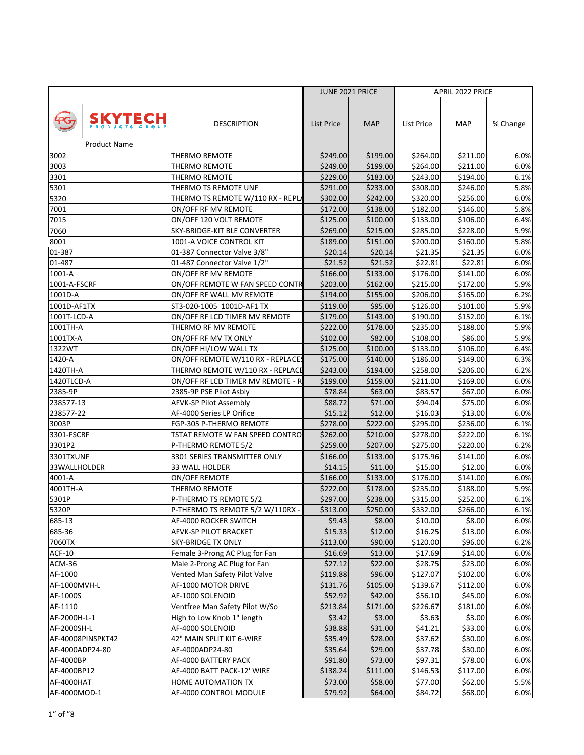|                                       |                                                              | <b>JUNE 2021 PRICE</b> |                     |                      | APRIL 2022 PRICE    |              |
|---------------------------------------|--------------------------------------------------------------|------------------------|---------------------|----------------------|---------------------|--------------|
| <b>SKYTECH</b><br><b>Product Name</b> | <b>DESCRIPTION</b>                                           | List Price             | <b>MAP</b>          | List Price           | <b>MAP</b>          | % Change     |
| 3002                                  | THERMO REMOTE                                                | \$249.00               | \$199.00            | \$264.00             | \$211.00            | 6.0%         |
| 3003                                  | THERMO REMOTE                                                | \$249.00               | \$199.00            | \$264.00             | \$211.00            | 6.0%         |
| 3301                                  | THERMO REMOTE                                                | \$229.00               | \$183.00            | \$243.00             | \$194.00            | 6.1%         |
| 5301                                  | THERMO TS REMOTE UNF                                         | \$291.00               | \$233.00            | \$308.00             | \$246.00            | 5.8%         |
| 5320                                  | THERMO TS REMOTE W/110 RX - REPL                             | \$302.00               | \$242.00            | \$320.00             | \$256.00            | 6.0%         |
| 7001                                  | ON/OFF RF MV REMOTE                                          | \$172.00               | \$138.00            | \$182.00             | \$146.00            | 5.8%         |
| 7015                                  | ON/OFF 120 VOLT REMOTE                                       | \$125.00               | \$100.00            | \$133.00             | \$106.00            | 6.4%         |
| 7060                                  | SKY-BRIDGE-KIT BLE CONVERTER                                 | \$269.00               | \$215.00            | \$285.00             | \$228.00            | 5.9%         |
| 8001                                  | 1001-A VOICE CONTROL KIT                                     | \$189.00               | \$151.00            | \$200.00             | \$160.00            | 5.8%         |
| 01-387                                | 01-387 Connector Valve 3/8"                                  | \$20.14                | \$20.14             | \$21.35              | \$21.35             | 6.0%         |
| 01-487                                | 01-487 Connector Valve 1/2"                                  | \$21.52                | \$21.52             | \$22.81              | \$22.81             | 6.0%         |
| 1001-A                                | ON/OFF RF MV REMOTE                                          | \$166.00               | \$133.00            | \$176.00             | \$141.00            | 6.0%         |
| 1001-A-FSCRF                          | ON/OFF REMOTE W FAN SPEED CONTR                              | \$203.00               | \$162.00            | \$215.00             | \$172.00            | 5.9%         |
| 1001D-A                               | ON/OFF RF WALL MV REMOTE                                     | \$194.00               | \$155.00            | \$206.00             | \$165.00            | 6.2%         |
| 1001D-AF1TX                           | ST3-020-1005 1001D-AF1 TX                                    | \$119.00               | \$95.00             | \$126.00             | \$101.00            | 5.9%         |
| 1001T-LCD-A                           | ON/OFF RF LCD TIMER MV REMOTE                                | \$179.00               | \$143.00            | \$190.00             | \$152.00            | 6.1%         |
| 1001TH-A                              | THERMO RF MV REMOTE                                          | \$222.00               | \$178.00            | \$235.00             | \$188.00            | 5.9%         |
| 1001TX-A                              | ON/OFF RF MV TX ONLY                                         | \$102.00               | \$82.00             | \$108.00             | \$86.00             | 5.9%         |
| 1322WT                                | ON/OFF HI/LOW WALL TX                                        | \$125.00               | \$100.00            | \$133.00             | \$106.00            | 6.4%         |
| 1420-A                                | ON/OFF REMOTE W/110 RX - REPLACES                            | \$175.00               | \$140.00            | \$186.00             | \$149.00            | 6.3%         |
| 1420TH-A                              | THERMO REMOTE W/110 RX - REPLACE                             | \$243.00               | \$194.00            | \$258.00             | \$206.00            | 6.2%         |
| 1420TLCD-A                            | ON/OFF RF LCD TIMER MV REMOTE - R                            | \$199.00               | \$159.00            | \$211.00             | \$169.00            | 6.0%         |
| 2385-9P                               | 2385-9P PSE Pilot Asbly                                      | \$78.84                | \$63.00             | \$83.57              | \$67.00             | 6.0%         |
| 238577-13                             | AFVK-SP Pilot Assembly                                       | \$88.72                | \$71.00             | \$94.04              | \$75.00             | 6.0%         |
| 238577-22                             | AF-4000 Series LP Orifice                                    | \$15.12                | \$12.00             | \$16.03              | \$13.00             | 6.0%         |
| 3003P                                 | FGP-305 P-THERMO REMOTE                                      | \$278.00               | \$222.00            | \$295.00             | \$236.00            | 6.1%         |
| 3301-FSCRF                            | TSTAT REMOTE W FAN SPEED CONTRO                              | \$262.00               | \$210.00            | \$278.00             | \$222.00            | 6.1%         |
| 3301P2                                | P-THERMO REMOTE 5/2                                          | \$259.00               | \$207.00            | \$275.00             | \$220.00            | 6.2%         |
| 3301TXUNF                             | 3301 SERIES TRANSMITTER ONLY                                 | \$166.00               | \$133.00            | \$175.96             | \$141.00            | 6.0%         |
| 33WALLHOLDER                          | 33 WALL HOLDER                                               | \$14.15                | \$11.00             | \$15.00              | \$12.00             | 6.0%         |
| 4001-A                                | ON/OFF REMOTE                                                | \$166.00               | \$133.00            | \$176.00             | \$141.00            | 6.0%         |
| 4001TH-A                              | THERMO REMOTE                                                | \$222.00               | \$178.00            | \$235.00             | \$188.00            | 5.9%         |
| 5301P                                 | P-THERMO TS REMOTE 5/2                                       | \$297.00               | \$238.00            | \$315.00             | \$252.00            | 6.1%         |
| 5320P                                 | P-THERMO TS REMOTE 5/2 W/110RX -                             | \$313.00               | \$250.00            | \$332.00             | \$266.00            | 6.1%         |
| 685-13                                | AF-4000 ROCKER SWITCH                                        | \$9.43                 | \$8.00              | \$10.00              | \$8.00              | 6.0%         |
| 685-36                                | AFVK-SP PILOT BRACKET                                        | \$15.33                | \$12.00             | \$16.25              | $\overline{$}13.00$ | 6.0%         |
| 7060TX                                | <b>SKY-BRIDGE TX ONLY</b>                                    | \$113.00               | \$90.00             | \$120.00             | \$96.00             | 6.2%         |
| <b>ACF-10</b>                         | Female 3-Prong AC Plug for Fan                               | \$16.69                | \$13.00             | \$17.69              | \$14.00             | 6.0%         |
| ACM-36                                | Male 2-Prong AC Plug for Fan                                 | \$27.12                | \$22.00             | \$28.75              | \$23.00             | 6.0%         |
| AF-1000                               | Vented Man Safety Pilot Valve                                | \$119.88               | \$96.00             | \$127.07<br>\$139.67 | \$102.00            | 6.0%         |
| AF-1000MVH-L<br>AF-1000S              | AF-1000 MOTOR DRIVE<br>AF-1000 SOLENOID                      | \$131.76<br>\$52.92    | \$105.00<br>\$42.00 | \$56.10              | \$112.00<br>\$45.00 | 6.0%<br>6.0% |
| AF-1110                               |                                                              |                        | \$171.00            | \$226.67             | \$181.00            | 6.0%         |
| AF-2000H-L-1                          | Ventfree Man Safety Pilot W/So<br>High to Low Knob 1" length | \$213.84<br>\$3.42     | \$3.00              | \$3.63               | \$3.00              | 6.0%         |
| AF-2000SH-L                           | AF-4000 SOLENOID                                             | \$38.88                | \$31.00             | \$41.21              | \$33.00             | 6.0%         |
| AF-40008PINSPKT42                     | 42" MAIN SPLIT KIT 6-WIRE                                    | \$35.49                | \$28.00             | \$37.62              | \$30.00             | 6.0%         |
| AF-4000ADP24-80                       | AF-4000ADP24-80                                              | \$35.64                | \$29.00             | \$37.78              | \$30.00             | 6.0%         |
| AF-4000BP                             | AF-4000 BATTERY PACK                                         | \$91.80                | \$73.00             | \$97.31              | \$78.00             | 6.0%         |
| AF-4000BP12                           | AF-4000 BATT PACK-12' WIRE                                   | \$138.24               | \$111.00            | \$146.53             | \$117.00            | 6.0%         |
| AF-4000HAT                            | HOME AUTOMATION TX                                           | \$73.00                | \$58.00             | \$77.00              | \$62.00             | 5.5%         |
| AF-4000MOD-1                          | AF-4000 CONTROL MODULE                                       | \$79.92                | \$64.00             | \$84.72              | \$68.00             | 6.0%         |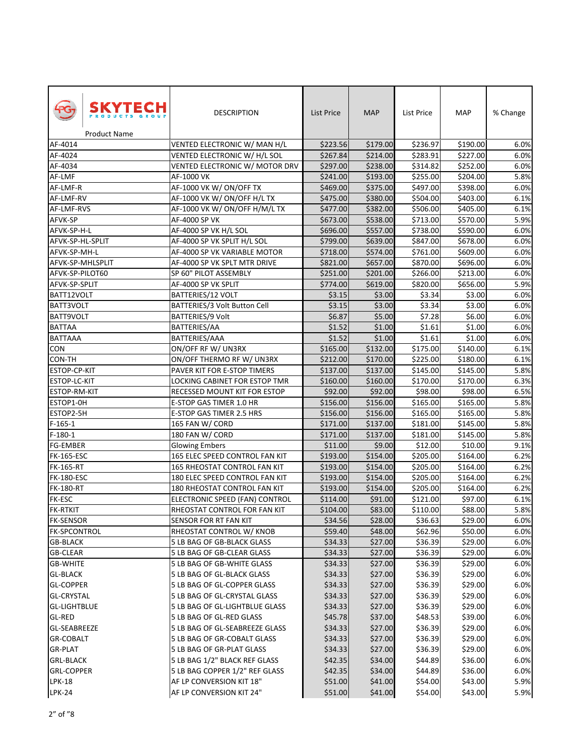| SKYTECH<br><b>Product Name</b> | <b>DESCRIPTION</b>             | List Price | <b>MAP</b> | List Price | <b>MAP</b> | % Change |
|--------------------------------|--------------------------------|------------|------------|------------|------------|----------|
| AF-4014                        | VENTED ELECTRONIC W/ MAN H/L   | \$223.56   | \$179.00   | \$236.97   | \$190.00   | 6.0%     |
| AF-4024                        | VENTED ELECTRONIC W/ H/L SOL   | \$267.84   | \$214.00   | \$283.91   | \$227.00   | 6.0%     |
| AF-4034                        | VENTED ELECTRONIC W/ MOTOR DRV | \$297.00   | \$238.00   | \$314.82   | \$252.00   | 6.0%     |
| AF-LMF                         | AF-1000 VK                     | \$241.00   | \$193.00   | \$255.00   | \$204.00   | 5.8%     |
| AF-LMF-R                       | AF-1000 VK W/ ON/OFF TX        | \$469.00   | \$375.00   | \$497.00   | \$398.00   | 6.0%     |
| AF-LMF-RV                      | AF-1000 VK W/ON/OFF H/L TX     | \$475.00   | \$380.00   | \$504.00   | \$403.00   | 6.1%     |
| AF-LMF-RVS                     | AF-1000 VK W/ ON/OFF H/M/L TX  | \$477.00   | \$382.00   | \$506.00   | \$405.00   | 6.1%     |
| AFVK-SP                        | AF-4000 SP VK                  | \$673.00   | \$538.00   | \$713.00   | \$570.00   | 5.9%     |
| AFVK-SP-H-L                    | AF-4000 SP VK H/L SOL          | \$696.00   | \$557.00   | \$738.00   | \$590.00   | 6.0%     |
| AFVK-SP-HL-SPLIT               | AF-4000 SP VK SPLIT H/L SOL    | \$799.00   | \$639.00   | \$847.00   | \$678.00   | 6.0%     |
| AFVK-SP-MH-L                   | AF-4000 SP VK VARIABLE MOTOR   | \$718.00   | \$574.00   | \$761.00   | \$609.00   | 6.0%     |
| AFVK-SP-MHLSPLIT               | AF-4000 SP VK SPLT MTR DRIVE   | \$821.00   | \$657.00   | \$870.00   | \$696.00   | 6.0%     |
| AFVK-SP-PILOT60                | SP 60" PILOT ASSEMBLY          | \$251.00   | \$201.00   | \$266.00   | \$213.00   | 6.0%     |
| AFVK-SP-SPLIT                  | AF-4000 SP VK SPLIT            | \$774.00   | \$619.00   | \$820.00   | \$656.00   | 5.9%     |
| BATT12VOLT                     | <b>BATTERIES/12 VOLT</b>       | \$3.15     | \$3.00     | \$3.34     | \$3.00     | 6.0%     |
| BATT3VOLT                      | BATTERIES/3 Volt Button Cell   | \$3.15     | \$3.00     | \$3.34     | \$3.00     | 6.0%     |
| BATT9VOLT                      | <b>BATTERIES/9 Volt</b>        | \$6.87     | \$5.00     | \$7.28     | \$6.00     | 6.0%     |
| <b>BATTAA</b>                  | BATTERIES/AA                   | \$1.52     | \$1.00     | \$1.61     | \$1.00     | 6.0%     |
| BATTAAA                        | BATTERIES/AAA                  | \$1.52     | \$1.00     | \$1.61     | \$1.00     | 6.0%     |
| CON                            | ON/OFF RF W/ UN3RX             | \$165.00   | \$132.00   | \$175.00   | \$140.00   | 6.1%     |
| CON-TH                         | ON/OFF THERMO RF W/ UN3RX      | \$212.00   | \$170.00   | \$225.00   | \$180.00   | 6.1%     |
| ESTOP-CP-KIT                   | PAVER KIT FOR E-STOP TIMERS    | \$137.00   | \$137.00   | \$145.00   | \$145.00   | 5.8%     |
| ESTOP-LC-KIT                   | LOCKING CABINET FOR ESTOP TMR  | \$160.00   | \$160.00   | \$170.00   | \$170.00   | 6.3%     |
| ESTOP-RM-KIT                   | RECESSED MOUNT KIT FOR ESTOP   | \$92.00    | \$92.00    | \$98.00    | \$98.00    | 6.5%     |
| ESTOP1-0H                      | E-STOP GAS TIMER 1.0 HR        | \$156.00   | \$156.00   | \$165.00   | \$165.00   | 5.8%     |
| ESTOP2-5H                      | E-STOP GAS TIMER 2.5 HRS       | \$156.00   | \$156.00   | \$165.00   | \$165.00   | 5.8%     |
| F-165-1                        | 165 FAN W/ CORD                | \$171.00   | \$137.00   | \$181.00   | \$145.00   | 5.8%     |
| F-180-1                        | 180 FAN W/ CORD                | \$171.00   | \$137.00   | \$181.00   | \$145.00   | 5.8%     |
| FG-EMBER                       | <b>Glowing Embers</b>          | \$11.00    | \$9.00     | \$12.00    | \$10.00    | 9.1%     |
| <b>FK-165-ESC</b>              | 165 ELEC SPEED CONTROL FAN KIT | \$193.00   | \$154.00   | \$205.00   | \$164.00   | 6.2%     |
| FK-165-RT                      | 165 RHEOSTAT CONTROL FAN KIT   | \$193.00   | \$154.00   | \$205.00   | \$164.00   | 6.2%     |
| <b>FK-180-ESC</b>              | 180 ELEC SPEED CONTROL FAN KIT | \$193.00   | \$154.00   | \$205.00   | \$164.00   | 6.2%     |
| <b>FK-180-RT</b>               | 180 RHEOSTAT CONTROL FAN KIT   | \$193.00   | \$154.00   | \$205.00   | \$164.00   | 6.2%     |
| FK-ESC                         | ELECTRONIC SPEED (FAN) CONTROL | \$114.00   | \$91.00    | \$121.00   | \$97.00    | 6.1%     |
| <b>FK-RTKIT</b>                | RHEOSTAT CONTROL FOR FAN KIT   | \$104.00   | \$83.00    | \$110.00   | \$88.00    | 5.8%     |
| <b>FK-SENSOR</b>               | SENSOR FOR RT FAN KIT          | \$34.56    | \$28.00    | \$36.63    | \$29.00    | 6.0%     |
| FK-SPCONTROL                   | RHEOSTAT CONTROL W/ KNOB       | \$59.40    | \$48.00    | \$62.96    | \$50.00    | 6.0%     |
| <b>GB-BLACK</b>                | 5 LB BAG OF GB-BLACK GLASS     | \$34.33    | \$27.00    | \$36.39    | \$29.00    | 6.0%     |
| <b>GB-CLEAR</b>                | 5 LB BAG OF GB-CLEAR GLASS     | \$34.33    | \$27.00    | \$36.39    | \$29.00    | 6.0%     |
| <b>GB-WHITE</b>                | 5 LB BAG OF GB-WHITE GLASS     | \$34.33    | \$27.00    | \$36.39    | \$29.00    | 6.0%     |
| <b>GL-BLACK</b>                | 5 LB BAG OF GL-BLACK GLASS     | \$34.33    | \$27.00    | \$36.39    | \$29.00    | 6.0%     |
| <b>GL-COPPER</b>               | 5 LB BAG OF GL-COPPER GLASS    | \$34.33    | \$27.00    | \$36.39    | \$29.00    | 6.0%     |
| <b>GL-CRYSTAL</b>              | 5 LB BAG OF GL-CRYSTAL GLASS   | \$34.33    | \$27.00    | \$36.39    | \$29.00    | 6.0%     |
| <b>GL-LIGHTBLUE</b>            | 5 LB BAG OF GL-LIGHTBLUE GLASS | \$34.33    | \$27.00    | \$36.39    | \$29.00    | 6.0%     |
| <b>GL-RED</b>                  | 5 LB BAG OF GL-RED GLASS       | \$45.78    | \$37.00    | \$48.53    | \$39.00    | 6.0%     |
| <b>GL-SEABREEZE</b>            | 5 LB BAG OF GL-SEABREEZE GLASS | \$34.33    | \$27.00    | \$36.39    | \$29.00    | 6.0%     |
| <b>GR-COBALT</b>               | 5 LB BAG OF GR-COBALT GLASS    | \$34.33    | \$27.00    | \$36.39    | \$29.00    | 6.0%     |
| <b>GR-PLAT</b>                 | 5 LB BAG OF GR-PLAT GLASS      | \$34.33    | \$27.00    | \$36.39    | \$29.00    | 6.0%     |
| <b>GRL-BLACK</b>               | 5 LB BAG 1/2" BLACK REF GLASS  | \$42.35    | \$34.00    | \$44.89    | \$36.00    | 6.0%     |
| <b>GRL-COPPER</b>              | 5 LB BAG COPPER 1/2" REF GLASS | \$42.35    | \$34.00    | \$44.89    | \$36.00    | 6.0%     |
| <b>LPK-18</b>                  | AF LP CONVERSION KIT 18"       | \$51.00    | \$41.00    | \$54.00    | \$43.00    | 5.9%     |
| <b>LPK-24</b>                  | AF LP CONVERSION KIT 24"       | \$51.00    | \$41.00    | \$54.00    | \$43.00    | 5.9%     |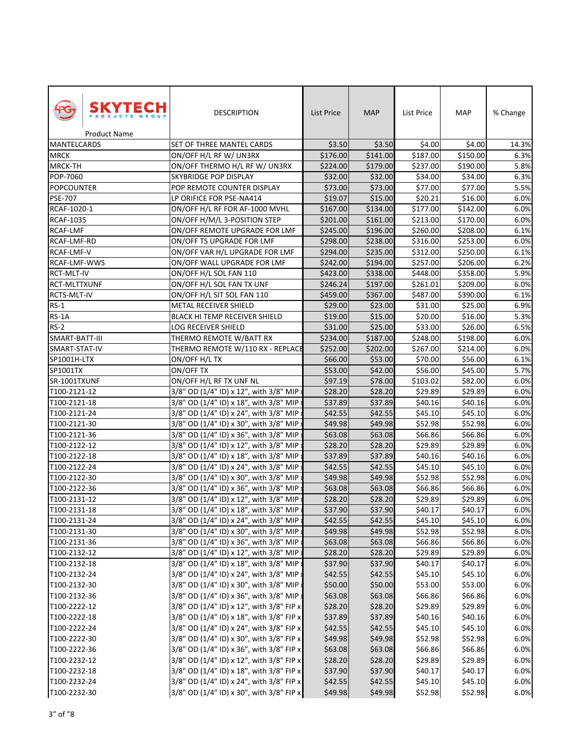| SKYTECH<br><b>Product Name</b> | <b>DESCRIPTION</b>                       | List Price | <b>MAP</b> | List Price | MAP      | % Change |
|--------------------------------|------------------------------------------|------------|------------|------------|----------|----------|
| <b>MANTELCARDS</b>             | SET OF THREE MANTEL CARDS                | \$3.50     | \$3.50     | \$4.00     | \$4.00   | 14.3%    |
| MRCK                           | ON/OFF H/L RF W/ UN3RX                   | \$176.00   | \$141.00   | \$187.00   | \$150.00 | 6.3%     |
| MRCK-TH                        | ON/OFF THERMO H/L RF W/ UN3RX            | \$224.00   | \$179.00   | \$237.00   | \$190.00 | 5.8%     |
| POP-7060                       | SKYBRIDGE POP DISPLAY                    | \$32.00    | \$32.00    | \$34.00    | \$34.00  | 6.3%     |
| <b>POPCOUNTER</b>              | POP REMOTE COUNTER DISPLAY               | \$73.00    | \$73.00    | \$77.00    | \$77.00  | 5.5%     |
| <b>PSE-707</b>                 | LP ORIFICE FOR PSE-NA414                 | \$19.07    | \$15.00    | \$20.21    | \$16.00  | 6.0%     |
| RCAF-1020-1                    | ON/OFF H/L RF FOR AF-1000 MVHL           | \$167.00   | \$134.00   | \$177.00   | \$142.00 | 6.0%     |
| <b>RCAF-1035</b>               | ON/OFF H/M/L 3-POSITION STEP             | \$201.00   | \$161.00   | \$213.00   | \$170.00 | 6.0%     |
| <b>RCAF-LMF</b>                | ON/OFF REMOTE UPGRADE FOR LMF            | \$245.00   | \$196.00   | \$260.00   | \$208.00 | 6.1%     |
| RCAF-LMF-RD                    | ON/OFF TS UPGRADE FOR LMF                | \$298.00   | \$238.00   | \$316.00   | \$253.00 | 6.0%     |
| RCAF-LMF-V                     | ON/OFF VAR H/L UPGRADE FOR LMF           | \$294.00   | \$235.00   | \$312.00   | \$250.00 | 6.1%     |
| RCAF-LMF-WWS                   | ON/OFF WALL UPGRADE FOR LMF              | \$242.00   | \$194.00   | \$257.00   | \$206.00 | 6.2%     |
| RCT-MLT-IV                     | ON/OFF H/L SOL FAN 110                   | \$423.00   | \$338.00   | \$448.00   | \$358.00 | 5.9%     |
| RCT-MLTTXUNF                   | ON/OFF H/L SOL FAN TX UNF                | \$246.24   | \$197.00   | \$261.01   | \$209.00 | 6.0%     |
| RCTS-MLT-IV                    | ON/OFF H/L SIT SOL FAN 110               | \$459.00   | \$367.00   | \$487.00   | \$390.00 | 6.1%     |
| $RS-1$                         | METAL RECEIVER SHIELD                    | \$29.00    | \$23.00    | \$31.00    | \$25.00  | 6.9%     |
| RS-1A                          | <b>BLACK HI TEMP RECEIVER SHIELD</b>     | \$19.00    | \$15.00    | \$20.00    | \$16.00  | 5.3%     |
| <b>RS-2</b>                    | <b>LOG RECEIVER SHIELD</b>               | \$31.00    | \$25.00    | \$33.00    | \$26.00  | 6.5%     |
| SMART-BATT-III                 | THERMO REMOTE W/BATT RX                  | \$234.00   | \$187.00   | \$248.00   | \$198.00 | 6.0%     |
| SMART-STAT-IV                  | THERMO REMOTE W/110 RX - REPLACE         | \$252.00   | \$202.00   | \$267.00   | \$214.00 | 6.0%     |
| SP1001H-LTX                    | ON/OFF H/L TX                            | \$66.00    | \$53.00    | \$70.00    | \$56.00  | 6.1%     |
| SP1001TX                       | ON/OFF TX                                | \$53.00    | \$42.00    | \$56.00    | \$45.00  | 5.7%     |
| SR-1001TXUNF                   | ON/OFF H/L RF TX UNF NL                  | \$97.19    | \$78.00    | \$103.02   | \$82.00  | 6.0%     |
| T100-2121-12                   | 3/8" OD (1/4" ID) x 12", with 3/8" MIP : | \$28.20    | \$28.20    | \$29.89    | \$29.89  | 6.0%     |
| T100-2121-18                   | 3/8" OD (1/4" ID) x 18", with 3/8" MIP : | \$37.89    | \$37.89    | \$40.16    | \$40.16  | 6.0%     |
| T100-2121-24                   | 3/8" OD (1/4" ID) x 24", with 3/8" MIP > | \$42.55    | \$42.55    | \$45.10    | \$45.10  | 6.0%     |
| T100-2121-30                   | 3/8" OD (1/4" ID) x 30", with 3/8" MIP x | \$49.98    | \$49.98    | \$52.98    | \$52.98  | 6.0%     |
| T100-2121-36                   | 3/8" OD (1/4" ID) x 36", with 3/8" MIP x | \$63.08    | \$63.08    | \$66.86    | \$66.86  | 6.0%     |
| T100-2122-12                   | 3/8" OD (1/4" ID) x 12", with 3/8" MIP : | \$28.20    | \$28.20    | \$29.89    | \$29.89  | 6.0%     |
| T100-2122-18                   | 3/8" OD (1/4" ID) x 18", with 3/8" MIP : | \$37.89    | \$37.89    | \$40.16    | \$40.16  | 6.0%     |
| T100-2122-24                   | 3/8" OD (1/4" ID) x 24", with 3/8" MIP : | \$42.55    | \$42.55    | \$45.10    | \$45.10  | 6.0%     |
| T100-2122-30                   | 3/8" OD (1/4" ID) x 30", with 3/8" MIP : | \$49.98    | \$49.98    | \$52.98    | \$52.98  | 6.0%     |
| T100-2122-36                   | 3/8" OD (1/4" ID) x 36", with 3/8" MIP : | \$63.08    | \$63.08    | \$66.86    | \$66.86  | 6.0%     |
| T100-2131-12                   | 3/8" OD (1/4" ID) x 12", with 3/8" MIP > | \$28.20    | \$28.20    | \$29.89    | \$29.89  | 6.0%     |
| T100-2131-18                   | 3/8" OD (1/4" ID) x 18", with 3/8" MIP x | \$37.90    | \$37.90    | \$40.17    | \$40.17  | 6.0%     |
| T100-2131-24                   | 3/8" OD (1/4" ID) x 24", with 3/8" MIP : | \$42.55    | \$42.55    | \$45.10    | \$45.10  | 6.0%     |
| T100-2131-30                   | 3/8" OD (1/4" ID) x 30", with 3/8" MIP   | \$49.98    | \$49.98    | \$52.98    | \$52.98  | 6.0%     |
| T100-2131-36                   | 3/8" OD (1/4" ID) x 36", with 3/8" MIP : | \$63.08    | \$63.08    | \$66.86    | \$66.86  | 6.0%     |
| T100-2132-12                   | 3/8" OD (1/4" ID) x 12", with 3/8" MIP:  | \$28.20    | \$28.20    | \$29.89    | \$29.89  | 6.0%     |
| T100-2132-18                   | 3/8" OD (1/4" ID) x 18", with 3/8" MIP : | \$37.90    | \$37.90    | \$40.17    | \$40.17  | 6.0%     |
| T100-2132-24                   | 3/8" OD (1/4" ID) x 24", with 3/8" MIP : | \$42.55    | \$42.55    | \$45.10    | \$45.10  | 6.0%     |
| T100-2132-30                   | 3/8" OD (1/4" ID) x 30", with 3/8" MIP x | \$50.00    | \$50.00    | \$53.00    | \$53.00  | 6.0%     |
| T100-2132-36                   | 3/8" OD (1/4" ID) x 36", with 3/8" MIP > | \$63.08    | \$63.08    | \$66.86    | \$66.86  | 6.0%     |
| T100-2222-12                   | 3/8" OD (1/4" ID) x 12", with 3/8" FIP x | \$28.20    | \$28.20    | \$29.89    | \$29.89  | 6.0%     |
| T100-2222-18                   | 3/8" OD (1/4" ID) x 18", with 3/8" FIP x | \$37.89    | \$37.89    | \$40.16    | \$40.16  | 6.0%     |
| T100-2222-24                   | 3/8" OD (1/4" ID) x 24", with 3/8" FIP x | \$42.55    | \$42.55    | \$45.10    | \$45.10  | 6.0%     |
| T100-2222-30                   | 3/8" OD (1/4" ID) x 30", with 3/8" FIP x | \$49.98    | \$49.98    | \$52.98    | \$52.98  | 6.0%     |
| T100-2222-36                   | 3/8" OD (1/4" ID) x 36", with 3/8" FIP x | \$63.08    | \$63.08    | \$66.86    | \$66.86  | 6.0%     |
| T100-2232-12                   | 3/8" OD (1/4" ID) x 12", with 3/8" FIP x | \$28.20    | \$28.20    | \$29.89    | \$29.89  | 6.0%     |
| T100-2232-18                   | 3/8" OD (1/4" ID) x 18", with 3/8" FIP x | \$37.90    | \$37.90    | \$40.17    | \$40.17  | 6.0%     |
| T100-2232-24                   | 3/8" OD (1/4" ID) x 24", with 3/8" FIP x | \$42.55    | \$42.55    | \$45.10    | \$45.10  | 6.0%     |
| T100-2232-30                   | 3/8" OD (1/4" ID) x 30", with 3/8" FIP x | \$49.98    | \$49.98    | \$52.98    | \$52.98  | 6.0%     |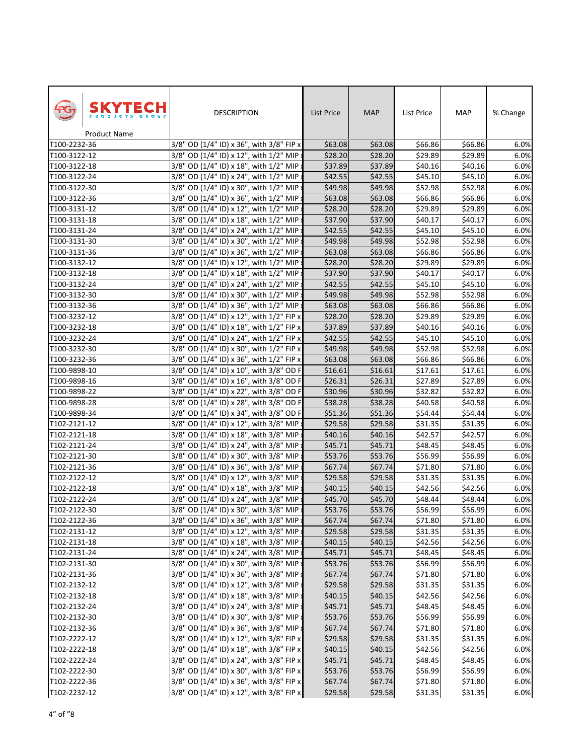| SKYTECH<br><b>Product Name</b> | <b>DESCRIPTION</b>                       | List Price | <b>MAP</b> | List Price          | MAP     | % Change |
|--------------------------------|------------------------------------------|------------|------------|---------------------|---------|----------|
| T100-2232-36                   | 3/8" OD (1/4" ID) x 36", with 3/8" FIP x | \$63.08    | \$63.08    | \$66.86             | \$66.86 | 6.0%     |
| T100-3122-12                   | 3/8" OD (1/4" ID) x 12", with 1/2" MIP > | \$28.20    | \$28.20    | \$29.89             | \$29.89 | 6.0%     |
| T100-3122-18                   | 3/8" OD (1/4" ID) x 18", with 1/2" MIP > | \$37.89    | \$37.89    | \$40.16             | \$40.16 | 6.0%     |
| T100-3122-24                   | 3/8" OD (1/4" ID) x 24", with 1/2" MIP : | \$42.55    | \$42.55    | \$45.10             | \$45.10 | 6.0%     |
| T100-3122-30                   | 3/8" OD (1/4" ID) x 30", with 1/2" MIP : | \$49.98    | \$49.98    | \$52.98             | \$52.98 | 6.0%     |
| T100-3122-36                   | 3/8" OD (1/4" ID) x 36", with 1/2" MIP   | \$63.08    | \$63.08    | \$66.86             | \$66.86 | 6.0%     |
| T100-3131-12                   | 3/8" OD (1/4" ID) x 12", with 1/2" MIP : | \$28.20    | \$28.20    | \$29.89             | \$29.89 | 6.0%     |
| T100-3131-18                   | 3/8" OD (1/4" ID) x 18", with 1/2" MIP   | \$37.90    | \$37.90    | \$40.17             | \$40.17 | 6.0%     |
| T100-3131-24                   | 3/8" OD (1/4" ID) x 24", with 1/2" MIP : | \$42.55    | \$42.55    | \$45.10             | \$45.10 | 6.0%     |
| T100-3131-30                   | 3/8" OD (1/4" ID) x 30", with 1/2" MIP:  | \$49.98    | \$49.98    | \$52.98             | \$52.98 | 6.0%     |
| T100-3131-36                   | 3/8" OD (1/4" ID) x 36", with 1/2" MIP : | \$63.08    | \$63.08    | \$66.86             | \$66.86 | 6.0%     |
| T100-3132-12                   | 3/8" OD (1/4" ID) x 12", with 1/2" MIP   | \$28.20    | \$28.20    | \$29.89             | \$29.89 | 6.0%     |
| T100-3132-18                   | 3/8" OD (1/4" ID) x 18", with 1/2" MIP:  | \$37.90    | \$37.90    | \$40.17             | \$40.17 | 6.0%     |
| T100-3132-24                   | 3/8" OD (1/4" ID) x 24", with 1/2" MIP   | \$42.55    | \$42.55    | \$45.10             | \$45.10 | 6.0%     |
| T100-3132-30                   | 3/8" OD (1/4" ID) x 30", with 1/2" MIP:  | \$49.98    | \$49.98    | \$52.98             | \$52.98 | 6.0%     |
| T100-3132-36                   | 3/8" OD (1/4" ID) x 36", with 1/2" MIP : | \$63.08    | \$63.08    | \$66.86             | \$66.86 | 6.0%     |
| T100-3232-12                   | 3/8" OD (1/4" ID) x 12", with 1/2" FIP x | \$28.20    | \$28.20    | \$29.89             | \$29.89 | 6.0%     |
| T100-3232-18                   | 3/8" OD (1/4" ID) x 18", with 1/2" FIP x | \$37.89    | \$37.89    | \$40.16             | \$40.16 | 6.0%     |
| T100-3232-24                   | 3/8" OD (1/4" ID) x 24", with 1/2" FIP x | \$42.55    | \$42.55    | \$45.10             | \$45.10 | 6.0%     |
| T100-3232-30                   | 3/8" OD (1/4" ID) x 30", with 1/2" FIP x | \$49.98    | \$49.98    | \$52.98             | \$52.98 | 6.0%     |
| T100-3232-36                   | 3/8" OD (1/4" ID) x 36", with 1/2" FIP x | \$63.08    | \$63.08    | \$66.86             | \$66.86 | 6.0%     |
| T100-9898-10                   | 3/8" OD (1/4" ID) x 10", with 3/8" OD F  | \$16.61    | \$16.61    | \$17.61             | \$17.61 | 6.0%     |
| T100-9898-16                   | 3/8" OD (1/4" ID) x 16", with 3/8" OD F  | \$26.31    | \$26.31    | $\overline{$}27.89$ | 527.89  | 6.0%     |
| T100-9898-22                   | 3/8" OD (1/4" ID) x 22", with 3/8" OD F  | \$30.96    | \$30.96    | \$32.82             | \$32.82 | 6.0%     |
| T100-9898-28                   | 3/8" OD (1/4" ID) x 28", with 3/8" OD F  | \$38.28    | \$38.28    | \$40.58             | \$40.58 | 6.0%     |
| T100-9898-34                   | 3/8" OD (1/4" ID) x 34", with 3/8" OD F  | \$51.36    | \$51.36    | \$54.44             | \$54.44 | 6.0%     |
| T102-2121-12                   | 3/8" OD (1/4" ID) x 12", with 3/8" MIP : | \$29.58    | \$29.58    | \$31.35             | \$31.35 | 6.0%     |
| T102-2121-18                   | 3/8" OD (1/4" ID) x 18", with 3/8" MIP : | \$40.16    | \$40.16    | \$42.57             | \$42.57 | 6.0%     |
| T102-2121-24                   | 3/8" OD (1/4" ID) x 24", with 3/8" MIP:  | \$45.71    | \$45.71    | \$48.45             | \$48.45 | 6.0%     |
| T102-2121-30                   | 3/8" OD (1/4" ID) x 30", with 3/8" MIP : | \$53.76    | \$53.76    | \$56.99             | \$56.99 | 6.0%     |
| T102-2121-36                   | 3/8" OD (1/4" ID) x 36", with 3/8" MIP   | \$67.74    | \$67.74    | \$71.80             | \$71.80 | 6.0%     |
| T102-2122-12                   | 3/8" OD (1/4" ID) x 12", with 3/8" MIP : | \$29.58    | \$29.58    | \$31.35             | \$31.35 | 6.0%     |
| T102-2122-18                   | 3/8" OD (1/4" ID) x 18", with 3/8" MIP:  | \$40.15    | \$40.15    | \$42.56             | \$42.56 | 6.0%     |
| T102-2122-24                   | 3/8" OD (1/4" ID) x 24", with 3/8" MIP > | \$45.70    | \$45.70    | \$48.44             | \$48.44 | 6.0%     |
| T102-2122-30                   | 3/8" OD (1/4" ID) x 30", with 3/8" MIP x | \$53.76    | \$53.76    | \$56.99             | \$56.99 | 6.0%     |
| T102-2122-36                   | 3/8" OD (1/4" ID) x 36", with 3/8" MIP:  | \$67.74    | \$67.74    | \$71.80             | \$71.80 | 6.0%     |
| T102-2131-12                   | 3/8" OD (1/4" ID) x 12", with 3/8" MIP   | \$29.58    | \$29.58    | \$31.35             | \$31.35 | 6.0%     |
| T102-2131-18                   | 3/8" OD (1/4" ID) x 18", with 3/8" MIP   | \$40.15    | \$40.15    | \$42.56             | \$42.56 | 6.0%     |
| T102-2131-24                   | 3/8" OD (1/4" ID) x 24", with 3/8" MIP   | \$45.71    | \$45.71    | $\overline{$}48.45$ | \$48.45 | 6.0%     |
| T102-2131-30                   | 3/8" OD (1/4" ID) x 30", with 3/8" MIP : | \$53.76    | \$53.76    | \$56.99             | \$56.99 | 6.0%     |
| T102-2131-36                   | 3/8" OD (1/4" ID) x 36", with 3/8" MIP : | \$67.74    | \$67.74    | \$71.80             | \$71.80 | 6.0%     |
| T102-2132-12                   | 3/8" OD (1/4" ID) x 12", with 3/8" MIP : | \$29.58    | \$29.58    | \$31.35             | \$31.35 | 6.0%     |
| T102-2132-18                   | 3/8" OD (1/4" ID) x 18", with 3/8" MIP : | \$40.15    | \$40.15    | \$42.56             | \$42.56 | 6.0%     |
| T102-2132-24                   | 3/8" OD (1/4" ID) x 24", with 3/8" MIP : | \$45.71    | \$45.71    | \$48.45             | \$48.45 | 6.0%     |
| T102-2132-30                   | 3/8" OD (1/4" ID) x 30", with 3/8" MIP : | \$53.76    | \$53.76    | \$56.99             | \$56.99 | 6.0%     |
| T102-2132-36                   | 3/8" OD (1/4" ID) x 36", with 3/8" MIP > | \$67.74    | \$67.74    | \$71.80             | \$71.80 | 6.0%     |
| T102-2222-12                   | 3/8" OD (1/4" ID) x 12", with 3/8" FIP x | \$29.58    | \$29.58    | \$31.35             | \$31.35 | 6.0%     |
| T102-2222-18                   | 3/8" OD (1/4" ID) x 18", with 3/8" FIP x | \$40.15    | \$40.15    | \$42.56             | \$42.56 | 6.0%     |
| T102-2222-24                   | 3/8" OD (1/4" ID) x 24", with 3/8" FIP x | \$45.71    | \$45.71    | \$48.45             | \$48.45 | 6.0%     |
| T102-2222-30                   | 3/8" OD (1/4" ID) x 30", with 3/8" FIP x | \$53.76    | \$53.76    | \$56.99             | \$56.99 | 6.0%     |
| T102-2222-36                   | 3/8" OD (1/4" ID) x 36", with 3/8" FIP x | \$67.74    | \$67.74    | \$71.80             | \$71.80 | 6.0%     |
| T102-2232-12                   | 3/8" OD (1/4" ID) x 12", with 3/8" FIP x | \$29.58    | \$29.58    | \$31.35             | \$31.35 | 6.0%     |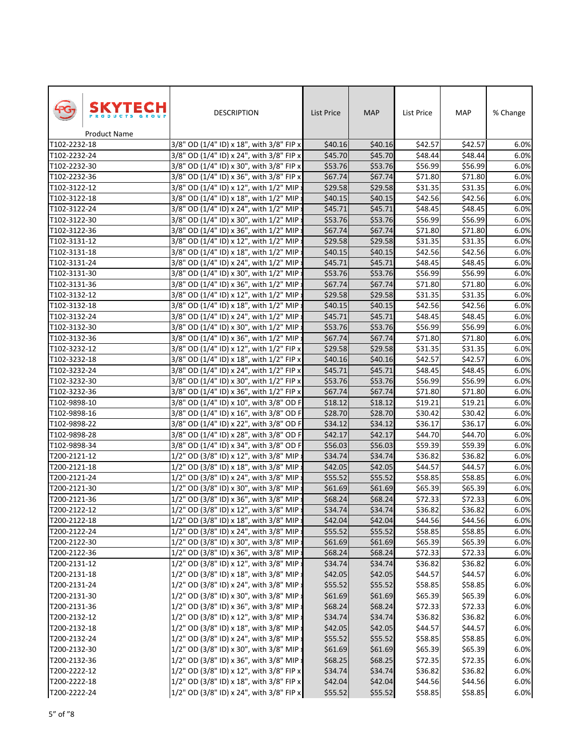|                              | SKYTECH      | <b>DESCRIPTION</b>                                                                   | <b>List Price</b> | <b>MAP</b>         | List Price | MAP                | % Change |
|------------------------------|--------------|--------------------------------------------------------------------------------------|-------------------|--------------------|------------|--------------------|----------|
| T102-2232-18                 | Product Name | 3/8" OD (1/4" ID) x 18", with 3/8" FIP x                                             | \$40.16           |                    | \$42.57    |                    | 6.0%     |
| T102-2232-24                 |              | 3/8" OD (1/4" ID) x 24", with 3/8" FIP x                                             | \$45.70           | \$40.16<br>\$45.70 | \$48.44    | \$42.57<br>\$48.44 | 6.0%     |
| T102-2232-30                 |              | 3/8" OD (1/4" ID) x 30", with 3/8" FIP x                                             | \$53.76           | \$53.76            | \$56.99    | \$56.99            | 6.0%     |
| T102-2232-36                 |              |                                                                                      | \$67.74           | \$67.74            | \$71.80    | \$71.80            | 6.0%     |
|                              |              | 3/8" OD (1/4" ID) x 36", with 3/8" FIP x<br>3/8" OD (1/4" ID) x 12", with 1/2" MIP > | \$29.58           | \$29.58            | \$31.35    | \$31.35            | 6.0%     |
| T102-3122-12<br>T102-3122-18 |              | 3/8" OD (1/4" ID) x 18", with 1/2" MIP:                                              | \$40.15           | \$40.15            | \$42.56    | \$42.56            | 6.0%     |
| T102-3122-24                 |              | 3/8" OD (1/4" ID) x 24", with 1/2" MIP :                                             | \$45.71           | \$45.71            | \$48.45    | \$48.45            | 6.0%     |
| T102-3122-30                 |              | 3/8" OD (1/4" ID) x 30", with 1/2" MIP :                                             | \$53.76           | \$53.76            | \$56.99    | \$56.99            | 6.0%     |
| T102-3122-36                 |              | 3/8" OD (1/4" ID) x 36", with 1/2" MIP :                                             | \$67.74           | \$67.74            | \$71.80    | \$71.80            | 6.0%     |
| T102-3131-12                 |              | 3/8" OD (1/4" ID) x 12", with 1/2" MIP:                                              | \$29.58           | \$29.58            | \$31.35    | \$31.35            | 6.0%     |
| T102-3131-18                 |              | 3/8" OD (1/4" ID) x 18", with 1/2" MIP :                                             | \$40.15           | \$40.15            | \$42.56    | \$42.56            | 6.0%     |
| T102-3131-24                 |              | 3/8" OD (1/4" ID) x 24", with 1/2" MIP :                                             | \$45.71           | \$45.71            | \$48.45    | \$48.45            | 6.0%     |
| T102-3131-30                 |              | 3/8" OD (1/4" ID) x 30", with 1/2" MIP :                                             | \$53.76           | \$53.76            | \$56.99    | \$56.99            | 6.0%     |
| T102-3131-36                 |              | 3/8" OD (1/4" ID) x 36", with 1/2" MIP                                               | \$67.74           | \$67.74            | \$71.80    | \$71.80            | 6.0%     |
| T102-3132-12                 |              | 3/8" OD (1/4" ID) x 12", with 1/2" MIP:                                              | \$29.58           | \$29.58            | \$31.35    | \$31.35            | 6.0%     |
| T102-3132-18                 |              | 3/8" OD (1/4" ID) x 18", with 1/2" MIP                                               | \$40.15           | \$40.15            | \$42.56    | \$42.56            | 6.0%     |
| T102-3132-24                 |              | 3/8" OD (1/4" ID) x 24", with 1/2" MIP :                                             | \$45.71           | \$45.71            | \$48.45    | \$48.45            | 6.0%     |
| T102-3132-30                 |              | 3/8" OD (1/4" ID) x 30", with 1/2" MIP :                                             | \$53.76           | \$53.76            | \$56.99    | \$56.99            | 6.0%     |
| T102-3132-36                 |              | 3/8" OD (1/4" ID) x 36", with 1/2" MIP x                                             | \$67.74           | \$67.74            | \$71.80    | \$71.80            | 6.0%     |
| T102-3232-12                 |              | 3/8" OD (1/4" ID) x 12", with 1/2" FIP x                                             | \$29.58           | \$29.58            | \$31.35    | \$31.35            | 6.0%     |
| T102-3232-18                 |              | 3/8" OD (1/4" ID) x 18", with 1/2" FIP x                                             | \$40.16           | \$40.16            | \$42.57    | \$42.57            | 6.0%     |
| T102-3232-24                 |              | 3/8" OD (1/4" ID) x 24", with 1/2" FIP x                                             | \$45.71           | \$45.71            | \$48.45    | \$48.45            | 6.0%     |
| T102-3232-30                 |              | 3/8" OD (1/4" ID) x 30", with 1/2" FIP x                                             | \$53.76           | \$53.76            | 556.99     | 556.99             | 6.0%     |
| T102-3232-36                 |              | 3/8" OD (1/4" ID) x 36", with 1/2" FIP x                                             | \$67.74           | \$67.74            | \$71.80    | \$71.80            | 6.0%     |
| T102-9898-10                 |              | 3/8" OD (1/4" ID) x 10", with 3/8" OD F                                              | \$18.12           | \$18.12            | \$19.21    | \$19.21            | 6.0%     |
| T102-9898-16                 |              | 3/8" OD (1/4" ID) x 16", with 3/8" OD F                                              | \$28.70           | \$28.70            | \$30.42    | \$30.42            | 6.0%     |
| T102-9898-22                 |              | 3/8" OD (1/4" ID) x 22", with 3/8" OD F                                              | \$34.12           | \$34.12            | \$36.17    | \$36.17            | 6.0%     |
| T102-9898-28                 |              | 3/8" OD (1/4" ID) x 28", with 3/8" OD F                                              | \$42.17           | \$42.17            | \$44.70    | \$44.70            | 6.0%     |
| T102-9898-34                 |              | 3/8" OD (1/4" ID) x 34", with 3/8" OD F                                              | \$56.03           | \$56.03            | \$59.39    | \$59.39            | 6.0%     |
| T200-2121-12                 |              | 1/2" OD (3/8" ID) x 12", with 3/8" MIP >                                             | \$34.74           | \$34.74            | \$36.82    | \$36.82            | 6.0%     |
| T200-2121-18                 |              | 1/2" OD (3/8" ID) x 18", with 3/8" MIP:                                              | \$42.05           | \$42.05            | \$44.57    | \$44.57            | 6.0%     |
| T200-2121-24                 |              | 1/2" OD (3/8" ID) x 24", with 3/8" MIP :                                             | \$55.52           | \$55.52            | \$58.85    | \$58.85            | 6.0%     |
| T200-2121-30                 |              | 1/2" OD (3/8" ID) x 30", with 3/8" MIP:                                              | \$61.69           | \$61.69            | \$65.39    | \$65.39            | 6.0%     |
| T200-2121-36                 |              | 1/2" OD (3/8" ID) x 36", with 3/8" MIP :                                             | \$68.24           | \$68.24            | \$72.33    | \$72.33            | 6.0%     |
| T200-2122-12                 |              | 1/2" OD (3/8" ID) x 12", with 3/8" MIP x                                             | \$34.74           | \$34.74            | \$36.82    | \$36.82            | 6.0%     |
| T200-2122-18                 |              | 1/2" OD (3/8" ID) x 18", with 3/8" MIP                                               | \$42.04           | \$42.04            | \$44.56    | \$44.56            | 6.0%     |
| T200-2122-24                 |              | 1/2" OD (3/8" ID) x 24", with 3/8" MIP                                               | \$55.52           | \$55.52            | \$58.85    | \$58.85            | 6.0%     |
| T200-2122-30                 |              | 1/2" OD (3/8" ID) x 30", with 3/8" MIP:                                              | \$61.69           | \$61.69            | \$65.39    | \$65.39            | 6.0%     |
| T200-2122-36                 |              | 1/2" OD (3/8" ID) x 36", with 3/8" MIP                                               | \$68.24           | \$68.24            | \$72.33    | \$72.33            | 6.0%     |
| T200-2131-12                 |              | 1/2" OD (3/8" ID) x 12", with 3/8" MIP:                                              | \$34.74           | \$34.74            | \$36.82    | \$36.82            | 6.0%     |
| T200-2131-18                 |              | 1/2" OD (3/8" ID) x 18", with 3/8" MIP :                                             | \$42.05           | \$42.05            | \$44.57    | \$44.57            | 6.0%     |
| T200-2131-24                 |              | 1/2" OD (3/8" ID) x 24", with 3/8" MIP :                                             | \$55.52           | \$55.52            | \$58.85    | \$58.85            | 6.0%     |
| T200-2131-30                 |              | 1/2" OD (3/8" ID) x 30", with 3/8" MIP :                                             | \$61.69           | \$61.69            | \$65.39    | \$65.39            | 6.0%     |
| T200-2131-36                 |              | 1/2" OD (3/8" ID) x 36", with 3/8" MIP :                                             | \$68.24           | \$68.24            | \$72.33    | \$72.33            | 6.0%     |
| T200-2132-12                 |              | 1/2" OD (3/8" ID) x 12", with 3/8" MIP :                                             | \$34.74           | \$34.74            | \$36.82    | \$36.82            | 6.0%     |
| T200-2132-18                 |              | 1/2" OD (3/8" ID) x 18", with 3/8" MIP :                                             | \$42.05           | \$42.05            | \$44.57    | \$44.57            | 6.0%     |
| T200-2132-24                 |              | 1/2" OD (3/8" ID) x 24", with 3/8" MIP :                                             | \$55.52           | \$55.52            | \$58.85    | \$58.85            | 6.0%     |
| T200-2132-30                 |              | 1/2" OD (3/8" ID) x 30", with 3/8" MIP >                                             | \$61.69           | \$61.69            | \$65.39    | \$65.39            | 6.0%     |
| T200-2132-36                 |              | 1/2" OD (3/8" ID) x 36", with 3/8" MIP :                                             | \$68.25           | \$68.25            | \$72.35    | \$72.35            | 6.0%     |
| T200-2222-12                 |              | 1/2" OD (3/8" ID) x 12", with 3/8" FIP x                                             | \$34.74           | \$34.74            | \$36.82    | \$36.82            | 6.0%     |
| T200-2222-18                 |              | 1/2" OD (3/8" ID) x 18", with 3/8" FIP x                                             | \$42.04           | \$42.04            | \$44.56    | \$44.56            | 6.0%     |
| T200-2222-24                 |              | 1/2" OD (3/8" ID) x 24", with 3/8" FIP x                                             | \$55.52           | \$55.52            | \$58.85    | \$58.85            | 6.0%     |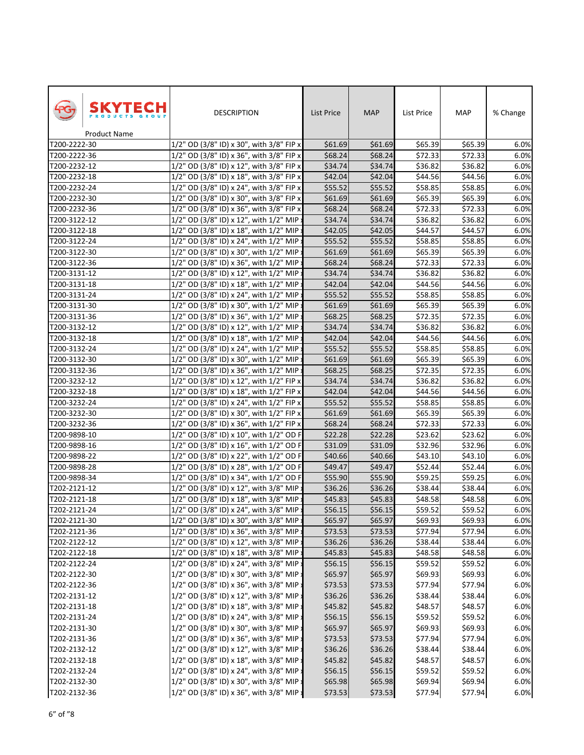|              | SKYTECH<br>Product Name | <b>DESCRIPTION</b>                       | <b>List Price</b> | <b>MAP</b> | List Price | MAP     | % Change |
|--------------|-------------------------|------------------------------------------|-------------------|------------|------------|---------|----------|
| T200-2222-30 |                         | 1/2" OD (3/8" ID) x 30", with 3/8" FIP x | \$61.69           | \$61.69    | \$65.39    | \$65.39 | 6.0%     |
| T200-2222-36 |                         | 1/2" OD (3/8" ID) x 36", with 3/8" FIP x | \$68.24           | \$68.24    | \$72.33    | \$72.33 | 6.0%     |
| T200-2232-12 |                         | 1/2" OD (3/8" ID) x 12", with 3/8" FIP x | \$34.74           | \$34.74    | \$36.82    | \$36.82 | 6.0%     |
| T200-2232-18 |                         | 1/2" OD (3/8" ID) x 18", with 3/8" FIP x | \$42.04           | \$42.04    | \$44.56    | \$44.56 | 6.0%     |
| T200-2232-24 |                         | 1/2" OD (3/8" ID) x 24", with 3/8" FIP x | \$55.52           | \$55.52    | \$58.85    | \$58.85 | 6.0%     |
| T200-2232-30 |                         | 1/2" OD (3/8" ID) x 30", with 3/8" FIP x | \$61.69           | \$61.69    | \$65.39    | \$65.39 | 6.0%     |
| T200-2232-36 |                         | 1/2" OD (3/8" ID) x 36", with 3/8" FIP x | \$68.24           | \$68.24    | \$72.33    | \$72.33 | 6.0%     |
| T200-3122-12 |                         | 1/2" OD (3/8" ID) x 12", with 1/2" MIP : | \$34.74           | \$34.74    | \$36.82    | \$36.82 | 6.0%     |
| T200-3122-18 |                         | 1/2" OD (3/8" ID) x 18", with 1/2" MIP : | \$42.05           | \$42.05    | \$44.57    | \$44.57 | 6.0%     |
| T200-3122-24 |                         | 1/2" OD (3/8" ID) x 24", with 1/2" MIP : | \$55.52           | \$55.52    | \$58.85    | \$58.85 | 6.0%     |
| T200-3122-30 |                         | 1/2" OD (3/8" ID) x 30", with 1/2" MIP x | \$61.69           | \$61.69    | \$65.39    | \$65.39 | 6.0%     |
| T200-3122-36 |                         | 1/2" OD (3/8" ID) x 36", with 1/2" MIP   | \$68.24           | \$68.24    | \$72.33    | \$72.33 | 6.0%     |
| T200-3131-12 |                         | 1/2" OD (3/8" ID) x 12", with 1/2" MIP : | \$34.74           | \$34.74    | \$36.82    | \$36.82 | 6.0%     |
| T200-3131-18 |                         | 1/2" OD (3/8" ID) x 18", with 1/2" MIP   | \$42.04           | \$42.04    | \$44.56    | \$44.56 | 6.0%     |
| T200-3131-24 |                         | 1/2" OD (3/8" ID) x 24", with 1/2" MIP:  | \$55.52           | \$55.52    | \$58.85    | \$58.85 | 6.0%     |
| T200-3131-30 |                         | 1/2" OD (3/8" ID) x 30", with 1/2" MIP   | \$61.69           | \$61.69    | \$65.39    | \$65.39 | 6.0%     |
| T200-3131-36 |                         | 1/2" OD (3/8" ID) x 36", with 1/2" MIP : | \$68.25           | \$68.25    | \$72.35    | \$72.35 | 6.0%     |
| T200-3132-12 |                         | 1/2" OD (3/8" ID) x 12", with 1/2" MIP : | \$34.74           | \$34.74    | \$36.82    | \$36.82 | 6.0%     |
| T200-3132-18 |                         | 1/2" OD (3/8" ID) x 18", with 1/2" MIP : | \$42.04           | \$42.04    | \$44.56    | \$44.56 | 6.0%     |
| T200-3132-24 |                         | 1/2" OD (3/8" ID) x 24", with 1/2" MIP:  | \$55.52           | \$55.52    | \$58.85    | \$58.85 | 6.0%     |
| T200-3132-30 |                         | 1/2" OD (3/8" ID) x 30", with 1/2" MIP x | \$61.69           | \$61.69    | \$65.39    | \$65.39 | 6.0%     |
| T200-3132-36 |                         | 1/2" OD (3/8" ID) x 36", with 1/2" MIP : | \$68.25           | \$68.25    | \$72.35    | \$72.35 | 6.0%     |
| T200-3232-12 |                         | 1/2" OD (3/8" ID) x 12", with 1/2" FIP x | \$34.74           | \$34.74    | \$36.82    | \$36.82 | 6.0%     |
| T200-3232-18 |                         | 1/2" OD (3/8" ID) x 18", with 1/2" FIP x | \$42.04           | \$42.04    | \$44.56    | \$44.56 | 6.0%     |
| T200-3232-24 |                         | 1/2" OD (3/8" ID) x 24", with 1/2" FIP x | \$55.52           | \$55.52    | \$58.85    | \$58.85 | 6.0%     |
| T200-3232-30 |                         | 1/2" OD (3/8" ID) x 30", with 1/2" FIP x | \$61.69           | \$61.69    | \$65.39    | \$65.39 | 6.0%     |
| T200-3232-36 |                         | 1/2" OD (3/8" ID) x 36", with 1/2" FIP x | \$68.24           | \$68.24    | \$72.33    | \$72.33 | 6.0%     |
| T200-9898-10 |                         | 1/2" OD (3/8" ID) x 10", with 1/2" OD F  | \$22.28           | \$22.28    | \$23.62    | \$23.62 | 6.0%     |
| T200-9898-16 |                         | 1/2" OD (3/8" ID) x 16", with 1/2" OD F  | \$31.09           | \$31.09    | \$32.96    | \$32.96 | 6.0%     |
| T200-9898-22 |                         | 1/2" OD (3/8" ID) x 22", with 1/2" OD F  | \$40.66           | \$40.66    | \$43.10    | \$43.10 | 6.0%     |
| T200-9898-28 |                         | 1/2" OD (3/8" ID) x 28", with 1/2" OD F  | \$49.47           | \$49.47    | \$52.44    | \$52.44 | 6.0%     |
| T200-9898-34 |                         | 1/2" OD (3/8" ID) x 34", with 1/2" OD F  | \$55.90           | \$55.90    | \$59.25    | \$59.25 | 6.0%     |
| T202-2121-12 |                         | 1/2" OD (3/8" ID) x 12", with 3/8" MIP : | \$36.26           | \$36.26    | \$38.44    | \$38.44 | 6.0%     |
| T202-2121-18 |                         | 1/2" OD (3/8" ID) x 18", with 3/8" MIP > | \$45.83           | \$45.83    | \$48.58    | \$48.58 | 6.0%     |
| T202-2121-24 |                         | 1/2" OD (3/8" ID) x 24", with 3/8" MIP x | \$56.15           | \$56.15    | \$59.52    | \$59.52 | 6.0%     |
| T202-2121-30 |                         | 1/2" OD (3/8" ID) x 30", with 3/8" MIP   | \$65.97           | \$65.97    | \$69.93    | \$69.93 | 6.0%     |
| T202-2121-36 |                         | 1/2" OD (3/8" ID) x 36", with 3/8" MIP   | \$73.53           | \$73.53    | \$77.94    | \$77.94 | 6.0%     |
| T202-2122-12 |                         | 1/2" OD (3/8" ID) x 12", with 3/8" MIP:  | \$36.26           | \$36.26    | \$38.44    | \$38.44 | 6.0%     |
| T202-2122-18 |                         | 1/2" OD (3/8" ID) x 18", with 3/8" MIP   | \$45.83           | \$45.83    | \$48.58    | \$48.58 | 6.0%     |
| T202-2122-24 |                         | 1/2" OD (3/8" ID) x 24", with 3/8" MIP : | \$56.15           | \$56.15    | \$59.52    | \$59.52 | 6.0%     |
| T202-2122-30 |                         | 1/2" OD (3/8" ID) x 30", with 3/8" MIP : | \$65.97           | \$65.97    | \$69.93    | \$69.93 | 6.0%     |
| T202-2122-36 |                         | 1/2" OD (3/8" ID) x 36", with 3/8" MIP : | \$73.53           | \$73.53    | \$77.94    | \$77.94 | 6.0%     |
| T202-2131-12 |                         | 1/2" OD (3/8" ID) x 12", with 3/8" MIP : | \$36.26           | \$36.26    | \$38.44    | \$38.44 | 6.0%     |
| T202-2131-18 |                         | 1/2" OD (3/8" ID) x 18", with 3/8" MIP : | \$45.82           | \$45.82    | \$48.57    | \$48.57 | 6.0%     |
| T202-2131-24 |                         | 1/2" OD (3/8" ID) x 24", with 3/8" MIP : | \$56.15           | \$56.15    | \$59.52    | \$59.52 | 6.0%     |
| T202-2131-30 |                         | 1/2" OD (3/8" ID) x 30", with 3/8" MIP : | \$65.97           | \$65.97    | \$69.93    | \$69.93 | 6.0%     |
| T202-2131-36 |                         | 1/2" OD (3/8" ID) x 36", with 3/8" MIP : | \$73.53           | \$73.53    | \$77.94    | \$77.94 | 6.0%     |
| T202-2132-12 |                         | 1/2" OD (3/8" ID) x 12", with 3/8" MIP : | \$36.26           | \$36.26    | \$38.44    | \$38.44 | 6.0%     |
| T202-2132-18 |                         | 1/2" OD (3/8" ID) x 18", with 3/8" MIP : | \$45.82           | \$45.82    | \$48.57    | \$48.57 | 6.0%     |
| T202-2132-24 |                         | 1/2" OD (3/8" ID) x 24", with 3/8" MIP : | \$56.15           | \$56.15    | \$59.52    | \$59.52 | 6.0%     |
| T202-2132-30 |                         | 1/2" OD (3/8" ID) x 30", with 3/8" MIP : | \$65.98           | \$65.98    | \$69.94    | \$69.94 | 6.0%     |
| T202-2132-36 |                         | 1/2" OD (3/8" ID) x 36", with 3/8" MIP x | \$73.53           | \$73.53    | \$77.94    | \$77.94 | 6.0%     |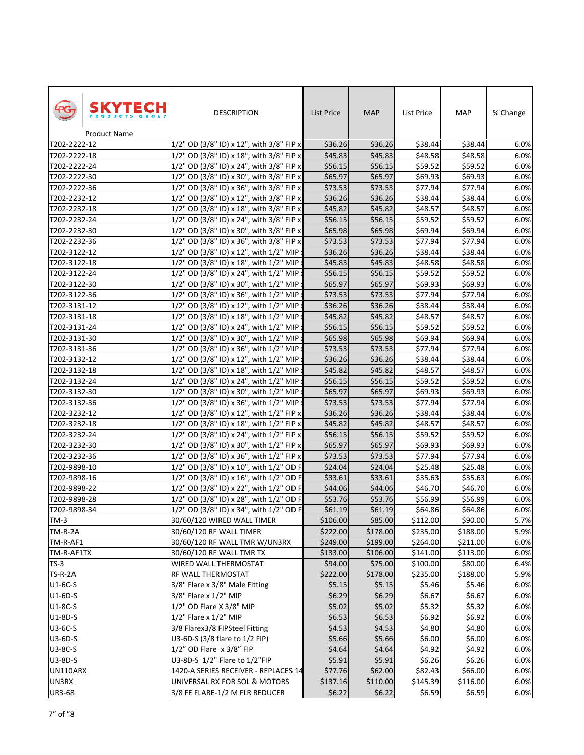| SKYTECH                      | <b>DESCRIPTION</b>                                                                   | <b>List Price</b> | <b>MAP</b> | List Price | MAP      | % Change |
|------------------------------|--------------------------------------------------------------------------------------|-------------------|------------|------------|----------|----------|
| Product Name<br>T202-2222-12 | 1/2" OD (3/8" ID) x 12", with 3/8" FIP x                                             | \$36.26           | \$36.26    | \$38.44    | \$38.44  | 6.0%     |
| T202-2222-18                 | 1/2" OD (3/8" ID) x 18", with 3/8" FIP x                                             | \$45.83           | \$45.83    | \$48.58    | \$48.58  | 6.0%     |
| T202-2222-24                 | 1/2" OD (3/8" ID) x 24", with 3/8" FIP x                                             | \$56.15           | \$56.15    | \$59.52    | \$59.52  | 6.0%     |
| T202-2222-30                 |                                                                                      | \$65.97           | \$65.97    | \$69.93    | \$69.93  | 6.0%     |
| T202-2222-36                 | 1/2" OD (3/8" ID) x 30", with 3/8" FIP x<br>1/2" OD (3/8" ID) x 36", with 3/8" FIP x | \$73.53           | \$73.53    | \$77.94    | \$77.94  | 6.0%     |
| T202-2232-12                 | 1/2" OD (3/8" ID) x 12", with 3/8" FIP x                                             | \$36.26           | \$36.26    | \$38.44    | \$38.44  | 6.0%     |
| T202-2232-18                 | 1/2" OD (3/8" ID) x 18", with 3/8" FIP x                                             | \$45.82           | \$45.82    | \$48.57    | \$48.57  | 6.0%     |
| T202-2232-24                 | 1/2" OD (3/8" ID) x 24", with 3/8" FIP x                                             | \$56.15           | \$56.15    | \$59.52    | \$59.52  | 6.0%     |
| T202-2232-30                 | 1/2" OD (3/8" ID) x 30", with 3/8" FIP x                                             | \$65.98           | \$65.98    | \$69.94    | \$69.94  | 6.0%     |
| T202-2232-36                 | 1/2" OD (3/8" ID) x 36", with 3/8" FIP x                                             | \$73.53           | \$73.53    | \$77.94    | \$77.94  | 6.0%     |
| T202-3122-12                 | 1/2" OD (3/8" ID) x 12", with 1/2" MIP :                                             | \$36.26           | \$36.26    | \$38.44    | \$38.44  | 6.0%     |
| T202-3122-18                 | 1/2" OD (3/8" ID) x 18", with 1/2" MIP :                                             | \$45.83           | \$45.83    | \$48.58    | \$48.58  | 6.0%     |
| T202-3122-24                 | 1/2" OD (3/8" ID) x 24", with 1/2" MIP :                                             | \$56.15           | \$56.15    | \$59.52    | \$59.52  | 6.0%     |
| T202-3122-30                 | 1/2" OD (3/8" ID) x 30", with 1/2" MIP                                               | \$65.97           | \$65.97    | \$69.93    | \$69.93  | 6.0%     |
| T202-3122-36                 | 1/2" OD (3/8" ID) x 36", with 1/2" MIP :                                             | \$73.53           | \$73.53    | \$77.94    | \$77.94  | 6.0%     |
| T202-3131-12                 | 1/2" OD (3/8" ID) x 12", with 1/2" MIP:                                              | \$36.26           | \$36.26    | \$38.44    | \$38.44  | 6.0%     |
| T202-3131-18                 | 1/2" OD (3/8" ID) x 18", with 1/2" MIP :                                             | \$45.82           | \$45.82    | \$48.57    | \$48.57  | 6.0%     |
| T202-3131-24                 | 1/2" OD (3/8" ID) x 24", with 1/2" MIP :                                             | \$56.15           | \$56.15    | \$59.52    | \$59.52  | 6.0%     |
| T202-3131-30                 | 1/2" OD (3/8" ID) x 30", with 1/2" MIP :                                             | \$65.98           | \$65.98    | \$69.94    | \$69.94  | 6.0%     |
| T202-3131-36                 | 1/2" OD (3/8" ID) x 36", with 1/2" MIP :                                             | \$73.53           | \$73.53    | \$77.94    | \$77.94  | 6.0%     |
| T202-3132-12                 | 1/2" OD (3/8" ID) x 12", with 1/2" MIP x                                             | \$36.26           | \$36.26    | \$38.44    | \$38.44  | 6.0%     |
| T202-3132-18                 | 1/2" OD (3/8" ID) x 18", with 1/2" MIP :                                             | \$45.82           | \$45.82    | \$48.57    | \$48.57  | 6.0%     |
| T202-3132-24                 | 1/2" OD (3/8" ID) x 24", with 1/2" MIP :                                             | \$56.15           | \$56.15    | \$59.52    | \$59.52  | 6.0%     |
| T202-3132-30                 | 1/2" OD (3/8" ID) x 30", with 1/2" MIP :                                             | \$65.97           | \$65.97    | \$69.93    | \$69.93  | 6.0%     |
| T202-3132-36                 | 1/2" OD (3/8" ID) x 36", with 1/2" MIP :                                             | \$73.53           | \$73.53    | \$77.94    | \$77.94  | 6.0%     |
| T202-3232-12                 | 1/2" OD (3/8" ID) x 12", with 1/2" FIP x                                             | \$36.26           | \$36.26    | \$38.44    | \$38.44  | 6.0%     |
| T202-3232-18                 | 1/2" OD (3/8" ID) x 18", with 1/2" FIP x                                             | \$45.82           | \$45.82    | \$48.57    | \$48.57  | 6.0%     |
| T202-3232-24                 | 1/2" OD (3/8" ID) x 24", with 1/2" FIP x                                             | \$56.15           | \$56.15    | \$59.52    | \$59.52  | 6.0%     |
| T202-3232-30                 | 1/2" OD (3/8" ID) x 30", with 1/2" FIP x                                             | \$65.97           | \$65.97    | \$69.93    | \$69.93  | 6.0%     |
| T202-3232-36                 | 1/2" OD (3/8" ID) x 36", with 1/2" FIP x                                             | \$73.53           | \$73.53    | \$77.94    | \$77.94  | 6.0%     |
| T202-9898-10                 | 1/2" OD (3/8" ID) x 10", with 1/2" OD F                                              | \$24.04           | \$24.04    | \$25.48    | \$25.48  | 6.0%     |
| T202-9898-16                 | 1/2" OD (3/8" ID) x 16", with 1/2" OD F                                              | \$33.61           | \$33.61    | \$35.63    | \$35.63  | 6.0%     |
| T202-9898-22                 | 1/2" OD (3/8" ID) x 22", with 1/2" OD F                                              | \$44.06           | \$44.06    | \$46.70    | \$46.70  | 6.0%     |
| T202-9898-28                 | 1/2" OD (3/8" ID) x 28", with 1/2" OD F                                              | \$53.76           | \$53.76    | \$56.99    | \$56.99  | 6.0%     |
| T202-9898-34                 | 1/2" OD (3/8" ID) x 34", with 1/2" OD F                                              | \$61.19           | \$61.19    | \$64.86    | \$64.86  | 6.0%     |
| $TM-3$                       | 30/60/120 WIRED WALL TIMER                                                           | \$106.00          | \$85.00    | \$112.00   | \$90.00  | 5.7%     |
| <b>TM-R-2A</b>               | 30/60/120 RF WALL TIMER                                                              | \$222.00          | \$178.00   | \$235.00   | \$188.00 | 5.9%     |
| TM-R-AF1                     | 30/60/120 RF WALL TMR W/UN3RX                                                        | \$249.00          | \$199.00   | \$264.00   | \$211.00 | 6.0%     |
| TM-R-AF1TX                   | 30/60/120 RF WALL TMR TX                                                             | \$133.00          | \$106.00   | \$141.00   | \$113.00 | 6.0%     |
| $TS-3$                       | WIRED WALL THERMOSTAT                                                                | \$94.00           | \$75.00    | \$100.00   | \$80.00  | 6.4%     |
| <b>TS-R-2A</b>               | RF WALL THERMOSTAT                                                                   | \$222.00          | \$178.00   | \$235.00   | \$188.00 | 5.9%     |
| U1-6C-S                      | 3/8" Flare x 3/8" Male Fitting                                                       | \$5.15            | \$5.15     | \$5.46     | \$5.46   | 6.0%     |
| $U1-6D-S$                    | 3/8" Flare x 1/2" MIP                                                                | \$6.29            | \$6.29     | \$6.67     | \$6.67   | 6.0%     |
| U1-8C-S                      | 1/2" OD Flare X 3/8" MIP                                                             | \$5.02            | \$5.02     | \$5.32     | \$5.32   | 6.0%     |
| U1-8D-S                      | 1/2" Flare x 1/2" MIP                                                                | \$6.53            | \$6.53     | \$6.92     | \$6.92   | 6.0%     |
| U3-6C-S                      | 3/8 Flarex3/8 FIPSteel Fitting                                                       | \$4.53            | \$4.53     | \$4.80     | \$4.80   | 6.0%     |
| U3-6D-S                      | U3-6D-S (3/8 flare to 1/2 FIP)                                                       | \$5.66            | \$5.66     | \$6.00     | \$6.00   | 6.0%     |
| <b>U3-8C-S</b>               | 1/2" OD Flare x 3/8" FIP                                                             | \$4.64            | \$4.64     | \$4.92     | \$4.92   | 6.0%     |
| U3-8D-S                      | U3-8D-S 1/2" Flare to 1/2"FIP                                                        | \$5.91            | \$5.91     | \$6.26     | \$6.26   | 6.0%     |
| UN110ARX                     | 1420-A SERIES RECEIVER - REPLACES 14                                                 | \$77.76           | \$62.00    | \$82.43    | \$66.00  | 6.0%     |
| UN3RX                        | UNIVERSAL RX FOR SOL & MOTORS                                                        | \$137.16          | \$110.00   | \$145.39   | \$116.00 | 6.0%     |
| <b>UR3-68</b>                | 3/8 FE FLARE-1/2 M FLR REDUCER                                                       | \$6.22            | \$6.22     | \$6.59     | \$6.59   | 6.0%     |
|                              |                                                                                      |                   |            |            |          |          |